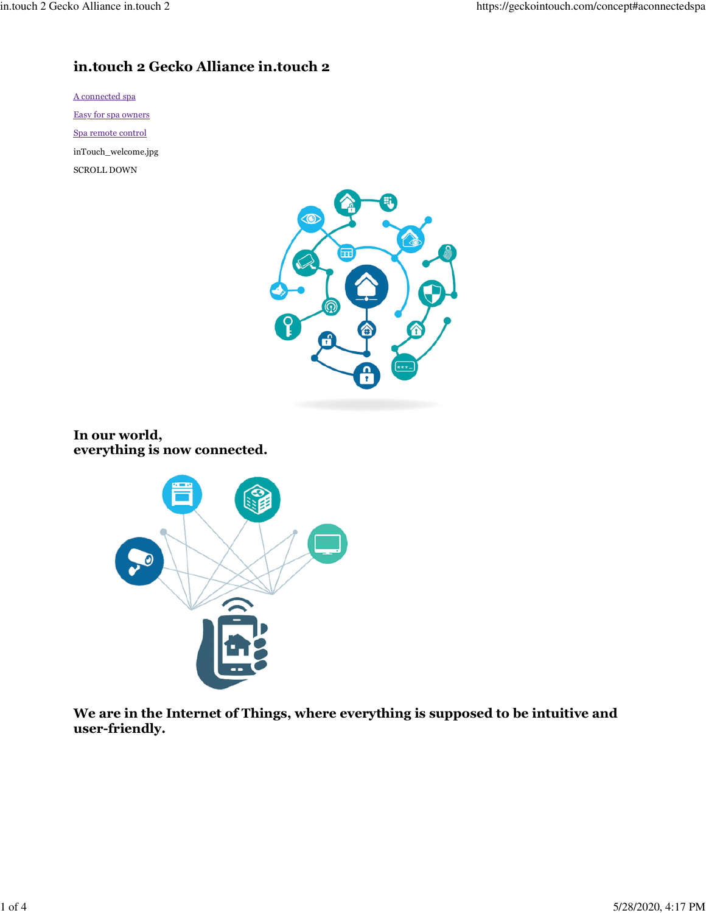# **in.touch 2 Gecko Alliance in.touch 2**

A connected spa Easy for spa owners Spa remote control inTouch\_welcome.jpg SCROLL DOWN



**In our world, everything is now connected.**



**We are in the Internet of Things, where everything is supposed to be intuitive and user-friendly.**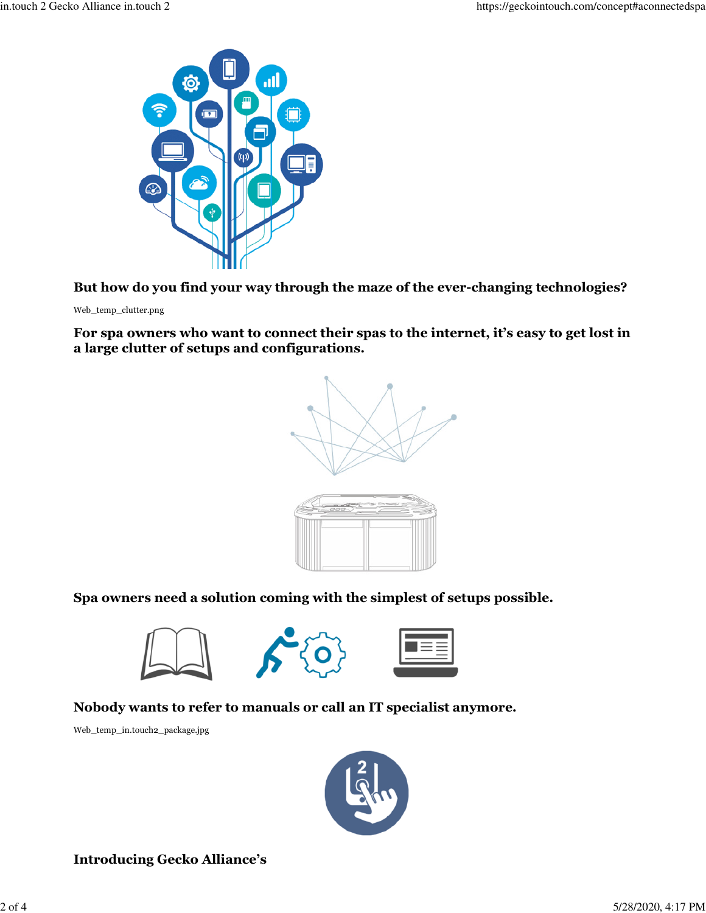

**But how do you find your way through the maze of the ever-changing technologies?**

Web\_temp\_clutter.png

**For spa owners who want to connect their spas to the internet, it's easy to get lost in a large clutter of setups and configurations.**



**Spa owners need a solution coming with the simplest of setups possible.**



**Nobody wants to refer to manuals or call an IT specialist anymore.**

Web\_temp\_in.touch2\_package.jpg



**Introducing Gecko Alliance's**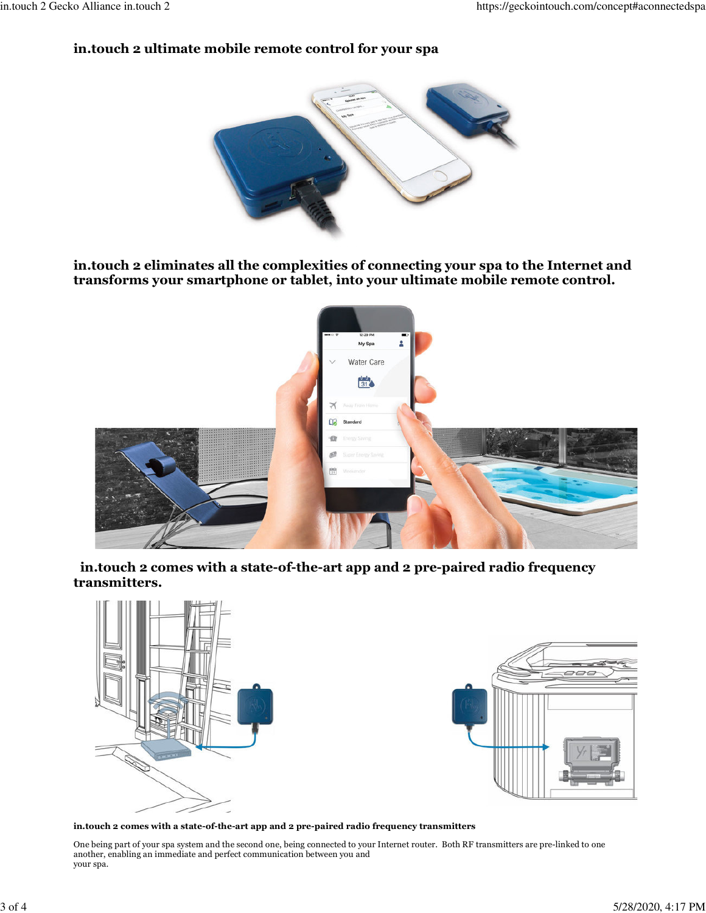### **in.touch 2 ultimate mobile remote control for your spa**



**in.touch 2 eliminates all the complexities of connecting your spa to the Internet and transforms your smartphone or tablet, into your ultimate mobile remote control.**



 **in.touch 2 comes with a state-of-the-art app and 2 pre-paired radio frequency transmitters.**



**in.touch 2 comes with a state-of-the-art app and 2 pre-paired radio frequency transmitters**

One being part of your spa system and the second one, being connected to your Internet router. Both RF transmitters are pre-linked to one another, enabling an immediate and perfect communication between you and your spa.